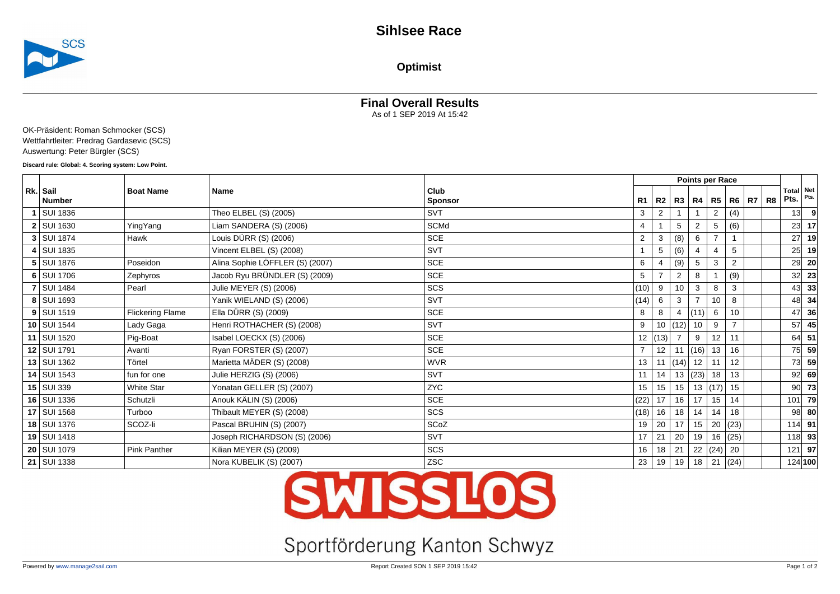

**Optimist**

## **Final Overall Results**

As of 1 SEP 2019 At 15:42

OK-Präsident: Roman Schmocker (SCS) Wettfahrtleiter: Predrag Gardasevic (SCS) Auswertung: Peter Bürgler (SCS)

**Discard rule: Global: 4. Scoring system: Low Point.**

| Rk. Sail          | <b>Boat Name</b>        | Name                            | Club           |                |                |                      |                |                |                |  | Total Net<br>Pts. | Pts.     |
|-------------------|-------------------------|---------------------------------|----------------|----------------|----------------|----------------------|----------------|----------------|----------------|--|-------------------|----------|
| Number            |                         |                                 | <b>Sponsor</b> | R1             | R2             |                      | R3   R4   R5   |                | R6   R7   R8   |  |                   |          |
| 1 SUI 1836        |                         | Theo ELBEL (S) (2005)           | <b>SVT</b>     | 3              | $\overline{2}$ |                      |                | $\overline{2}$ | (4)            |  | 13                |          |
| $2$ SUI 1630      | YingYang                | Liam SANDERA (S) (2006)         | SCMd           | $\overline{4}$ |                | 5                    | $\overline{2}$ | 5              | (6)            |  | 23                | 17       |
| $3$ SUI 1874      | Hawk                    | Louis DÜRR (S) (2006)           | <b>SCE</b>     | 2              | 3              | (8)                  | 6              | $\overline{7}$ |                |  | 27                | 19       |
| 4   SUI 1835      |                         | Vincent ELBEL (S) (2008)        | <b>SVT</b>     |                | 5              | (6)                  |                |                | 5              |  | 25                | 19       |
| $5$ SUI 1876      | Poseidon                | Alina Sophie LÖFFLER (S) (2007) | SCE            | 6              |                | (9)                  | 5              | 3              | 2              |  | 29                | -20      |
| $6$ SUI 1706      | Zephyros                | Jacob Ryu BRÜNDLER (S) (2009)   | SCE            | 5              |                | 2                    | 8              |                | (9)            |  | 32                | 23       |
| <b>7 SUI 1484</b> | Pearl                   | Julie MEYER (S) (2006)          | SCS            | (10)           | 9              | 10                   | 3              | 8              | 3              |  | 43                | 33       |
| 8 SUI 1693        |                         | Yanik WIELAND (S) (2006)        | <b>SVT</b>     | (14)           | 6              | 3                    |                | 10             | 8              |  | 48                | 34       |
| $9$ SUI 1519      | <b>Flickering Flame</b> | Ella DÜRR (S) (2009)            | <b>SCE</b>     | 8              | 8              | 4                    | (11)           | 6              | 10             |  | 47                | 36       |
| $10$ SUI 1544     | Lady Gaga               | Henri ROTHACHER (S) (2008)      | <b>SVT</b>     | 9              | 10             | (12)                 | 10             | 9              | $\overline{7}$ |  | 57                | 45       |
| 11 SUI 1520       | Pig-Boat                | Isabel LOECKX (S) (2006)        | SCE            | 12             | (13)           |                      | 9              | 12             | 11             |  | 64                | 51       |
| 12 SUI 1791       | Avanti                  | Ryan FORSTER (S) (2007)         | SCE            | $\overline{7}$ | 12             |                      | 11  (16)       | 13             | 16             |  | 75                | 59       |
| 13   SUI 1362     | Törtel                  | Marietta MÄDER (S) (2008)       | <b>WVR</b>     | 13             | 11             | $\vert$ (14) $\vert$ | $12$ 11        |                | 12             |  | 73                | 59       |
| 14 SUI 1543       | fun for one             | Julie HERZIG (S) (2006)         | <b>SVT</b>     | 11             | 14             | 13                   | (23)  18       |                | 13             |  | 92                | 69       |
| 15   SUI 339      | <b>White Star</b>       | Yonatan GELLER (S) (2007)       | <b>ZYC</b>     | 15             | 15             | 15 <sub>1</sub>      |                | 13   (17)      | 15             |  | 90                | 73       |
| 16   SUI 1336     | Schutzli                | Anouk KÄLIN (S) (2006)          | <b>SCE</b>     | (22)           | 17             | 16                   | 17             | 15             | 14             |  | 101               | 79       |
| 17   SUI 1568     | Turboo                  | Thibault MEYER (S) (2008)       | SCS            | (18)           | 16             | 18                   | 14             | 14             | 18             |  | 98                | 80       |
| 18 SUI 1376       | SCOZ-li                 | Pascal BRUHIN (S) (2007)        | SCoZ           | 19             | 20             | 17                   | 15             | 20             | (23)           |  | $114$ 91          |          |
| 19   SUI 1418     |                         | Joseph RICHARDSON (S) (2006)    | SVT            | 17             | 21             | 20                   | 19             | 16             | (25)           |  |                   | $118$ 93 |
| 20   SUI 1079     | Pink Panther            | Kilian MEYER (S) (2009)         | SCS            | 16             | 18             | 21                   |                | 22   (24)      | 20             |  | 121               | 97       |
| 21   SUI 1338     |                         | Nora KUBELIK (S) (2007)         | ZSC            | 23             | 19             | 19                   | $18$   21      |                | (24)           |  |                   | 124 100  |

# **SWISSLOS**

# Sportförderung Kanton Schwyz